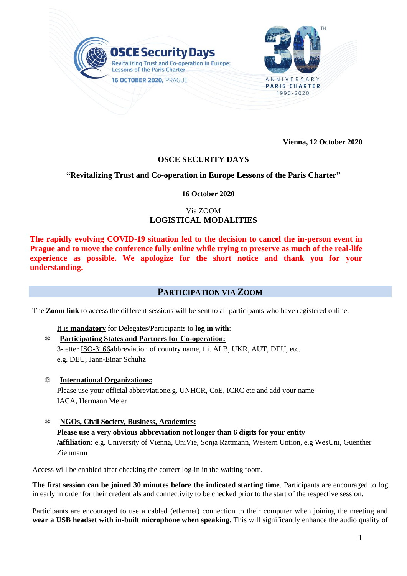

**Vienna, 12 October 2020**

# **OSCE SECURITY DAYS**

# **"Revitalizing Trust and Co-operation in Europe Lessons of the Paris Charter"**

### **16 October 2020**

# Via ZOOM **LOGISTICAL MODALITIES**

**The rapidly evolving COVID-19 situation led to the decision to cancel the in-person event in Prague and to move the conference fully online while trying to preserve as much of the real-life experience as possible. We apologize for the short notice and thank you for your understanding.**

# **PARTICIPATION VIA ZOOM**

The **Zoom link** to access the different sessions will be sent to all participants who have registered online.

It is **mandatory** for Delegates/Participants to **log in with**:

### ® **Participating States and Partners for Co-operation:**

3-letter [ISO-3166a](http://mail.eventsairmail.com/ls/click?upn=FckoALiza-2FS8G80J35nx-2FSDUMRnGFkwrzQ5GDREJv7-2F6X5gxDzEaZHwH4cJqT3oUbYqrrX2TC-2FBMlS1Gh2wxQg-3D-3DEHjD_d7nvhjp3mpBG6dZlNCdBd-2BFZxIyhRpPvbrnpx3U2jkjk0xonhsIWbM2QprugkkNPSOZY1HhV04KMH8rXMHzAPOI3R-2FIR-2BtW95Y15vxjJwxSYEw9Riz35xTLaBznPwJMIX7ydoLOQs4LUE4htr01bUPvrDWK5LPmPVacRvzb7y7Rn7CWiZEh2R3F-2FY9naQ-2B6ysMAKwz0P1XMpw4uhBndLMonooEnyBn-2BWGvPO-2F-2F6e47zqvd6PhDGWmq6d1d-2F-2FsjrWOnmYeOQEsRSg81LAntS1JqYA9cJ7UHrTwT5HY41BJE72TcpH-2Fg2tpqg9Ys1cGQI5FGrsDd-2F6ES9e5bzMjVyBKw-3D-3D)bbreviation of country name, f.i. ALB, UKR, AUT, DEU, etc. e.g. DEU, Jann-Einar Schultz

- ® **International Organizations:** Please use your official abbreviatione.g. UNHCR, CoE, ICRC etc and add your name IACA, Hermann Meier
- ® **NGOs, Civil Society, Business, Academics: Please use a very obvious abbreviation not longer than 6 digits for your entity /affiliation:** e.g. University of Vienna, UniVie, Sonja Rattmann, Western Untion, e.g WesUni, Guenther Ziehmann

Access will be enabled after checking the correct log-in in the waiting room.

**The first session can be joined 30 minutes before the indicated starting time**. Participants are encouraged to log in early in order for their credentials and connectivity to be checked prior to the start of the respective session.

Participants are encouraged to use a cabled (ethernet) connection to their computer when joining the meeting and **wear a USB headset with in-built microphone when speaking**. This will significantly enhance the audio quality of